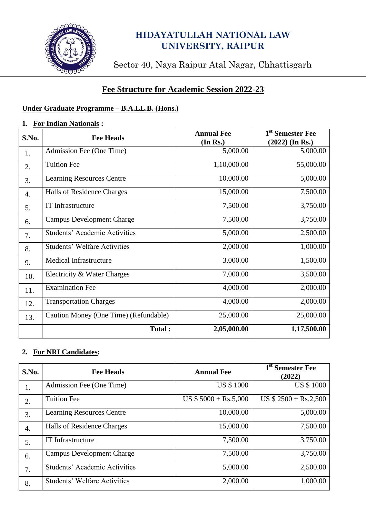

# **HIDAYATULLAH NATIONAL LAW UNIVERSITY, RAIPUR**

Sector 40, Naya Raipur Atal Nagar, Chhattisgarh

## **Fee Structure for Academic Session 2022-23**

# **Under Graduate Programme – B.A.LL.B. (Hons.)**

#### **1. For Indian Nationals :**

| S.No. | <b>Fee Heads</b>                      | <b>Annual Fee</b> | 1 <sup>st</sup> Semester Fee |
|-------|---------------------------------------|-------------------|------------------------------|
|       |                                       | (In Rs.)          | $(2022)$ (In Rs.)            |
| 1.    | Admission Fee (One Time)              | 5,000.00          | 5,000.00                     |
| 2.    | <b>Tuition Fee</b>                    | 1,10,000.00       | 55,000.00                    |
| 3.    | <b>Learning Resources Centre</b>      | 10,000.00         | 5,000.00                     |
| 4.    | Halls of Residence Charges            | 15,000.00         | 7,500.00                     |
| 5.    | IT Infrastructure                     | 7,500.00          | 3,750.00                     |
| 6.    | <b>Campus Development Charge</b>      | 7,500.00          | 3,750.00                     |
| 7.    | <b>Students' Academic Activities</b>  | 5,000.00          | 2,500.00                     |
| 8.    | <b>Students' Welfare Activities</b>   | 2,000.00          | 1,000.00                     |
| 9.    | <b>Medical Infrastructure</b>         | 3,000.00          | 1,500.00                     |
| 10.   | Electricity & Water Charges           | 7,000.00          | 3,500.00                     |
| 11.   | <b>Examination Fee</b>                | 4,000.00          | 2,000.00                     |
| 12.   | <b>Transportation Charges</b>         | 4,000.00          | 2,000.00                     |
| 13.   | Caution Money (One Time) (Refundable) | 25,000.00         | 25,000.00                    |
|       | Total:                                | 2,05,000.00       | 1,17,500.00                  |

### **2. For NRI Candidates:**

| S.No. | <b>Fee Heads</b>                     | <b>Annual Fee</b>     | 1 <sup>st</sup> Semester Fee<br>(2022) |
|-------|--------------------------------------|-----------------------|----------------------------------------|
| 1.    | Admission Fee (One Time)             | <b>US \$1000</b>      | <b>US \$1000</b>                       |
| 2.    | <b>Tuition Fee</b>                   | US $$5000 + Rs.5,000$ | $US $ 2500 + Rs.2,500$                 |
| 3.    | <b>Learning Resources Centre</b>     | 10,000.00             | 5,000.00                               |
| 4.    | Halls of Residence Charges           | 15,000.00             | 7,500.00                               |
| 5.    | <b>IT</b> Infrastructure             | 7,500.00              | 3,750.00                               |
| 6.    | <b>Campus Development Charge</b>     | 7,500.00              | 3,750.00                               |
| 7.    | <b>Students' Academic Activities</b> | 5,000.00              | 2,500.00                               |
| 8.    | <b>Students' Welfare Activities</b>  | 2,000.00              | 1,000.00                               |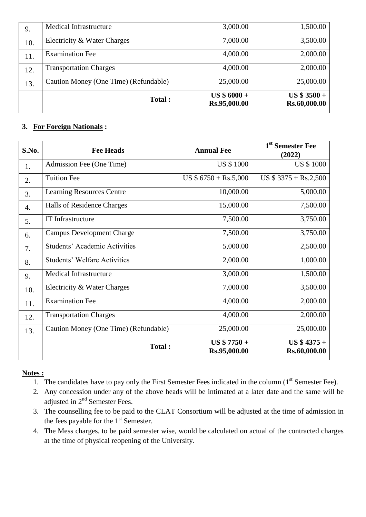| 9.  | <b>Medical Infrastructure</b>         | 3,000.00                      | 1,500.00                     |
|-----|---------------------------------------|-------------------------------|------------------------------|
| 10. | Electricity & Water Charges           | 7,000.00                      | 3,500.00                     |
| 11. | <b>Examination Fee</b>                | 4,000.00                      | 2,000.00                     |
| 12. | <b>Transportation Charges</b>         | 4,000.00                      | 2,000.00                     |
| 13. | Caution Money (One Time) (Refundable) | 25,000.00                     | 25,000.00                    |
|     | Total:                                | $US $ 6000 +$<br>Rs.95,000.00 | $US $3500 +$<br>Rs.60,000.00 |

## **3. For Foreign Nationals :**

| S.No. | <b>Fee Heads</b>                      | <b>Annual Fee</b>             | 1 <sup>st</sup> Semester Fee<br>(2022) |
|-------|---------------------------------------|-------------------------------|----------------------------------------|
| 1.    | Admission Fee (One Time)              | <b>US \$1000</b>              | <b>US \$1000</b>                       |
| 2.    | <b>Tuition Fee</b>                    | US $$6750 + Rs.5,000$         | US $$3375 + Rs.2,500$                  |
| 3.    | <b>Learning Resources Centre</b>      | 10,000.00                     | 5,000.00                               |
| 4.    | Halls of Residence Charges            | 15,000.00                     | 7,500.00                               |
| 5.    | <b>IT Infrastructure</b>              | 7,500.00                      | 3,750.00                               |
| 6.    | <b>Campus Development Charge</b>      | 7,500.00                      | 3,750.00                               |
| 7.    | <b>Students' Academic Activities</b>  | 5,000.00                      | 2,500.00                               |
| 8.    | <b>Students' Welfare Activities</b>   | 2,000.00                      | 1,000.00                               |
| 9.    | <b>Medical Infrastructure</b>         | 3,000.00                      | 1,500.00                               |
| 10.   | Electricity & Water Charges           | 7,000.00                      | 3,500.00                               |
| 11.   | <b>Examination Fee</b>                | 4,000.00                      | 2,000.00                               |
| 12.   | <b>Transportation Charges</b>         | 4,000.00                      | 2,000.00                               |
| 13.   | Caution Money (One Time) (Refundable) | 25,000.00                     | 25,000.00                              |
|       | Total:                                | $US $ 7750 +$<br>Rs.95,000.00 | $US $4375 +$<br>Rs.60,000.00           |

### **Notes :**

- <sup>111</sup> The candidates have to pay only the First Semester Fees indicated in the column (1<sup>st</sup> Semester Fee).
- 2. Any concession under any of the above heads will be intimated at a later date and the same will be adjusted in 2<sup>nd</sup> Semester Fees.
- 3. The counselling fee to be paid to the CLAT Consortium will be adjusted at the time of admission in the fees payable for the  $1<sup>st</sup>$  Semester.
- 4. The Mess charges, to be paid semester wise, would be calculated on actual of the contracted charges at the time of physical reopening of the University.